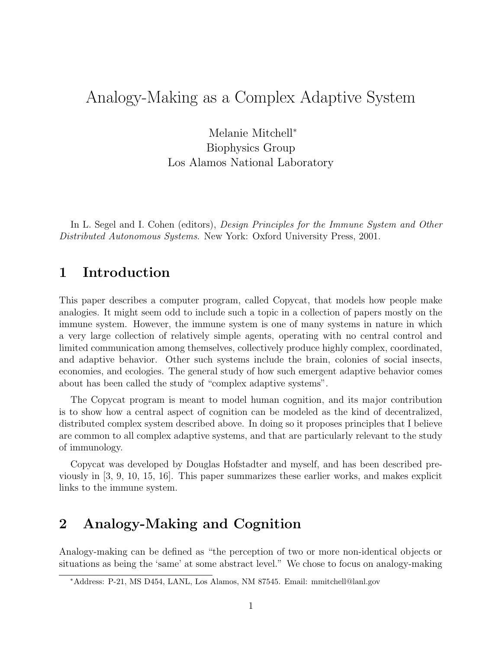# Analogy-Making as a Complex Adaptive System

Melanie Mitchell<sup>∗</sup> Biophysics Group Los Alamos National Laboratory

In L. Segel and I. Cohen (editors), Design Principles for the Immune System and Other Distributed Autonomous Systems. New York: Oxford University Press, 2001.

#### 1 Introduction

This paper describes a computer program, called Copycat, that models how people make analogies. It might seem odd to include such a topic in a collection of papers mostly on the immune system. However, the immune system is one of many systems in nature in which a very large collection of relatively simple agents, operating with no central control and limited communication among themselves, collectively produce highly complex, coordinated, and adaptive behavior. Other such systems include the brain, colonies of social insects, economies, and ecologies. The general study of how such emergent adaptive behavior comes about has been called the study of "complex adaptive systems".

The Copycat program is meant to model human cognition, and its major contribution is to show how a central aspect of cognition can be modeled as the kind of decentralized, distributed complex system described above. In doing so it proposes principles that I believe are common to all complex adaptive systems, and that are particularly relevant to the study of immunology.

Copycat was developed by Douglas Hofstadter and myself, and has been described previously in [3, 9, 10, 15, 16]. This paper summarizes these earlier works, and makes explicit links to the immune system.

# 2 Analogy-Making and Cognition

Analogy-making can be defined as "the perception of two or more non-identical objects or situations as being the 'same' at some abstract level." We chose to focus on analogy-making

<sup>∗</sup>Address: P-21, MS D454, LANL, Los Alamos, NM 87545. Email: mmitchell@lanl.gov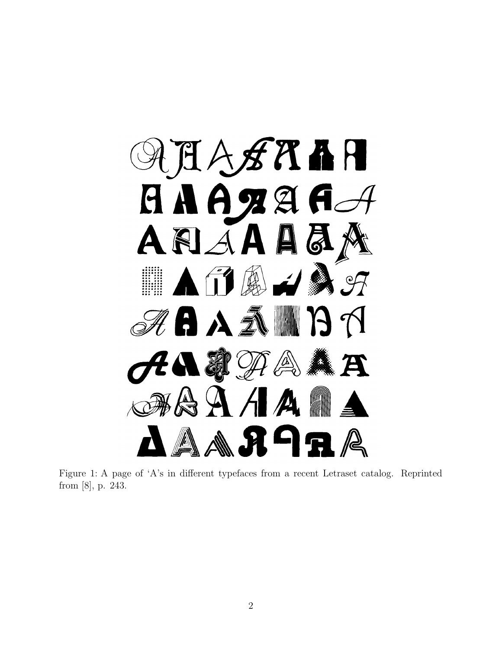

Figure 1: A page of 'A's in different typefaces from a recent Letraset catalog. Reprinted from [8], p. 243.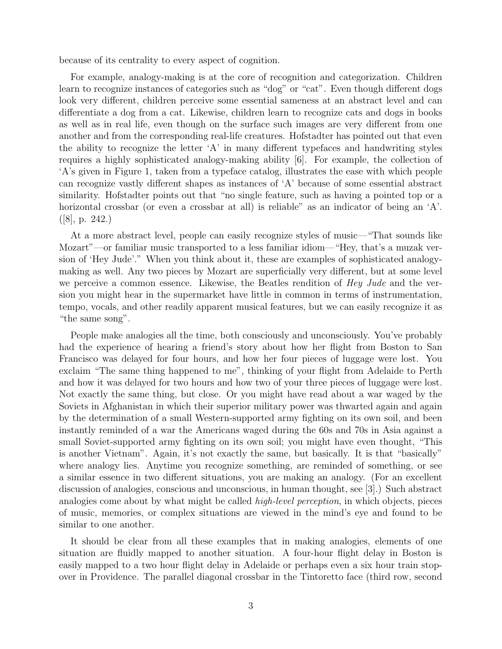because of its centrality to every aspect of cognition.

For example, analogy-making is at the core of recognition and categorization. Children learn to recognize instances of categories such as "dog" or "cat". Even though different dogs look very different, children perceive some essential sameness at an abstract level and can differentiate a dog from a cat. Likewise, children learn to recognize cats and dogs in books as well as in real life, even though on the surface such images are very different from one another and from the corresponding real-life creatures. Hofstadter has pointed out that even the ability to recognize the letter 'A' in many different typefaces and handwriting styles requires a highly sophisticated analogy-making ability [6]. For example, the collection of 'A's given in Figure 1, taken from a typeface catalog, illustrates the ease with which people can recognize vastly different shapes as instances of 'A' because of some essential abstract similarity. Hofstadter points out that "no single feature, such as having a pointed top or a horizontal crossbar (or even a crossbar at all) is reliable" as an indicator of being an 'A'. ([8], p. 242.)

At a more abstract level, people can easily recognize styles of music—"That sounds like Mozart"—or familiar music transported to a less familiar idiom—"Hey, that's a muzak version of 'Hey Jude'." When you think about it, these are examples of sophisticated analogymaking as well. Any two pieces by Mozart are superficially very different, but at some level we perceive a common essence. Likewise, the Beatles rendition of  $Hey$  Jude and the version you might hear in the supermarket have little in common in terms of instrumentation, tempo, vocals, and other readily apparent musical features, but we can easily recognize it as "the same song".

People make analogies all the time, both consciously and unconsciously. You've probably had the experience of hearing a friend's story about how her flight from Boston to San Francisco was delayed for four hours, and how her four pieces of luggage were lost. You exclaim "The same thing happened to me", thinking of your flight from Adelaide to Perth and how it was delayed for two hours and how two of your three pieces of luggage were lost. Not exactly the same thing, but close. Or you might have read about a war waged by the Soviets in Afghanistan in which their superior military power was thwarted again and again by the determination of a small Western-supported army fighting on its own soil, and been instantly reminded of a war the Americans waged during the 60s and 70s in Asia against a small Soviet-supported army fighting on its own soil; you might have even thought, "This is another Vietnam". Again, it's not exactly the same, but basically. It is that "basically" where analogy lies. Anytime you recognize something, are reminded of something, or see a similar essence in two different situations, you are making an analogy. (For an excellent discussion of analogies, conscious and unconscious, in human thought, see [3].) Such abstract analogies come about by what might be called high-level perception, in which objects, pieces of music, memories, or complex situations are viewed in the mind's eye and found to be similar to one another.

It should be clear from all these examples that in making analogies, elements of one situation are fluidly mapped to another situation. A four-hour flight delay in Boston is easily mapped to a two hour flight delay in Adelaide or perhaps even a six hour train stopover in Providence. The parallel diagonal crossbar in the Tintoretto face (third row, second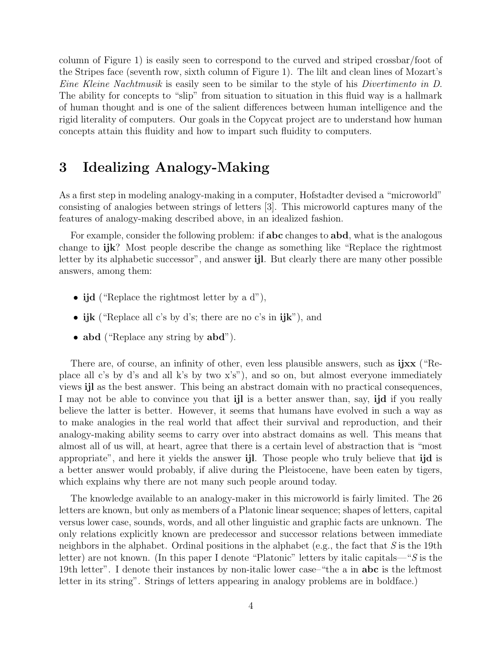column of Figure 1) is easily seen to correspond to the curved and striped crossbar/foot of the Stripes face (seventh row, sixth column of Figure 1). The lilt and clean lines of Mozart's Eine Kleine Nachtmusik is easily seen to be similar to the style of his Divertimento in D. The ability for concepts to "slip" from situation to situation in this fluid way is a hallmark of human thought and is one of the salient differences between human intelligence and the rigid literality of computers. Our goals in the Copycat project are to understand how human concepts attain this fluidity and how to impart such fluidity to computers.

### 3 Idealizing Analogy-Making

As a first step in modeling analogy-making in a computer, Hofstadter devised a "microworld" consisting of analogies between strings of letters [3]. This microworld captures many of the features of analogy-making described above, in an idealized fashion.

For example, consider the following problem: if **abc** changes to **abd**, what is the analogous change to ijk? Most people describe the change as something like "Replace the rightmost letter by its alphabetic successor", and answer ijl. But clearly there are many other possible answers, among them:

- ijd ("Replace the rightmost letter by a d"),
- ijk ("Replace all c's by d's; there are no c's in ijk"), and
- abd ("Replace any string by  $abd$ ").

There are, of course, an infinity of other, even less plausible answers, such as  $i$ jxx ("Replace all c's by d's and all k's by two x's"), and so on, but almost everyone immediately views ijl as the best answer. This being an abstract domain with no practical consequences, I may not be able to convince you that **ijl** is a better answer than, say, **ijd** if you really believe the latter is better. However, it seems that humans have evolved in such a way as to make analogies in the real world that affect their survival and reproduction, and their analogy-making ability seems to carry over into abstract domains as well. This means that almost all of us will, at heart, agree that there is a certain level of abstraction that is "most appropriate", and here it yields the answer ijl. Those people who truly believe that ijd is a better answer would probably, if alive during the Pleistocene, have been eaten by tigers, which explains why there are not many such people around today.

The knowledge available to an analogy-maker in this microworld is fairly limited. The 26 letters are known, but only as members of a Platonic linear sequence; shapes of letters, capital versus lower case, sounds, words, and all other linguistic and graphic facts are unknown. The only relations explicitly known are predecessor and successor relations between immediate neighbors in the alphabet. Ordinal positions in the alphabet (e.g., the fact that  $S$  is the 19th letter) are not known. (In this paper I denote "Platonic" letters by italic capitals—"S is the 19th letter". I denote their instances by non-italic lower case–"the a in abc is the leftmost letter in its string". Strings of letters appearing in analogy problems are in boldface.)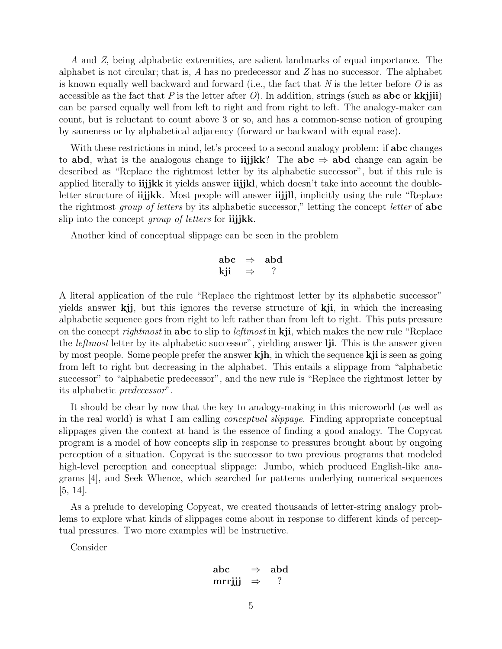A and Z, being alphabetic extremities, are salient landmarks of equal importance. The alphabet is not circular; that is,  $A$  has no predecessor and  $Z$  has no successor. The alphabet is known equally well backward and forward (i.e., the fact that N is the letter before  $\hat{O}$  is as accessible as the fact that P is the letter after O). In addition, strings (such as abc or kkjjii) can be parsed equally well from left to right and from right to left. The analogy-maker can count, but is reluctant to count above 3 or so, and has a common-sense notion of grouping by sameness or by alphabetical adjacency (forward or backward with equal ease).

With these restrictions in mind, let's proceed to a second analogy problem: if **abc** changes to abd, what is the analogous change to iijjkk? The abc  $\Rightarrow$  abd change can again be described as "Replace the rightmost letter by its alphabetic successor", but if this rule is applied literally to **iijjkk** it yields answer **iijjkl**, which doesn't take into account the doubleletter structure of **iijjkk**. Most people will answer **iijjll**, implicitly using the rule "Replace" the rightmost *group of letters* by its alphabetic successor," letting the concept *letter* of **abc** slip into the concept *group of letters* for **iijjkk**.

Another kind of conceptual slippage can be seen in the problem

$$
\begin{array}{rcl}\n\text{abc} & \Rightarrow & \text{abd} \\
\text{kji} & \Rightarrow & ?\n\end{array}
$$

A literal application of the rule "Replace the rightmost letter by its alphabetic successor" yields answer kjj, but this ignores the reverse structure of kji, in which the increasing alphabetic sequence goes from right to left rather than from left to right. This puts pressure on the concept *rightmost* in **abc** to slip to *leftmost* in **kji**, which makes the new rule "Replace" the *leftmost* letter by its alphabetic successor", yielding answer lji. This is the answer given by most people. Some people prefer the answer  $\textbf{k}$ jh, in which the sequence  $\textbf{k}$ ji is seen as going from left to right but decreasing in the alphabet. This entails a slippage from "alphabetic successor" to "alphabetic predecessor", and the new rule is "Replace the rightmost letter by its alphabetic predecessor".

It should be clear by now that the key to analogy-making in this microworld (as well as in the real world) is what I am calling conceptual slippage. Finding appropriate conceptual slippages given the context at hand is the essence of finding a good analogy. The Copycat program is a model of how concepts slip in response to pressures brought about by ongoing perception of a situation. Copycat is the successor to two previous programs that modeled high-level perception and conceptual slippage: Jumbo, which produced English-like anagrams [4], and Seek Whence, which searched for patterns underlying numerical sequences [5, 14].

As a prelude to developing Copycat, we created thousands of letter-string analogy problems to explore what kinds of slippages come about in response to different kinds of perceptual pressures. Two more examples will be instructive.

Consider

$$
\begin{array}{rcl}\n\text{abc} & \Rightarrow & \text{abd} \\
\text{mrrjjj} & \Rightarrow & ?\n\end{array}
$$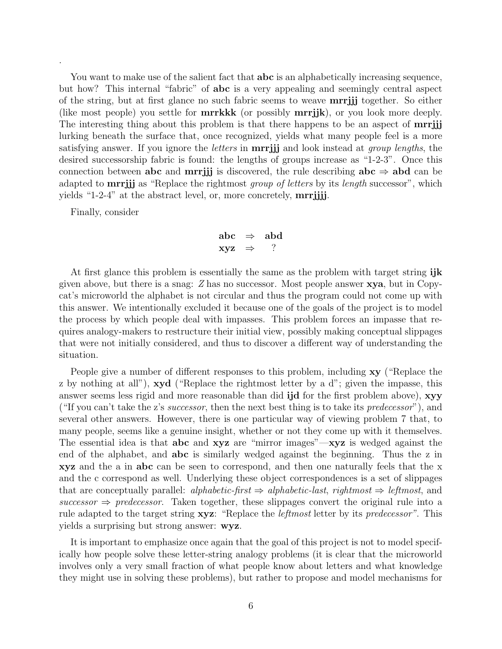You want to make use of the salient fact that **abc** is an alphabetically increasing sequence, but how? This internal "fabric" of abc is a very appealing and seemingly central aspect of the string, but at first glance no such fabric seems to weave mrrjjj together. So either (like most people) you settle for mrrkkk (or possibly mrrjjk), or you look more deeply. The interesting thing about this problem is that there happens to be an aspect of **mrrili** lurking beneath the surface that, once recognized, yields what many people feel is a more satisfying answer. If you ignore the *letters* in **mrriji** and look instead at *group lengths*, the desired successorship fabric is found: the lengths of groups increase as "1-2-3". Once this connection between abc and mrriji is discovered, the rule describing  $abc \Rightarrow abd$  can be adapted to **mrrijj** as "Replace the rightmost *group of letters* by its *length* successor", which yields "1-2-4" at the abstract level, or, more concretely, mrrjjjj.

Finally, consider

.

$$
\begin{array}{rcl}\n\text{abc} & \Rightarrow & \text{abd} \\
\text{xyz} & \Rightarrow & ?\n\end{array}
$$

At first glance this problem is essentially the same as the problem with target string **ijk** given above, but there is a snag:  $Z$  has no successor. Most people answer  $xyz$ , but in Copycat's microworld the alphabet is not circular and thus the program could not come up with this answer. We intentionally excluded it because one of the goals of the project is to model the process by which people deal with impasses. This problem forces an impasse that requires analogy-makers to restructure their initial view, possibly making conceptual slippages that were not initially considered, and thus to discover a different way of understanding the situation.

People give a number of different responses to this problem, including **xy** ("Replace the z by nothing at all"), xyd ("Replace the rightmost letter by a d"; given the impasse, this answer seems less rigid and more reasonable than did ijd for the first problem above), xyy ("If you can't take the z's *successor*, then the next best thing is to take its *predecessor*"), and several other answers. However, there is one particular way of viewing problem 7 that, to many people, seems like a genuine insight, whether or not they come up with it themselves. The essential idea is that **abc** and  $xyz$  are "mirror images"— $xyz$  is wedged against the end of the alphabet, and abc is similarly wedged against the beginning. Thus the z in xyz and the a in abc can be seen to correspond, and then one naturally feels that the x and the c correspond as well. Underlying these object correspondences is a set of slippages that are conceptually parallel: alphabetic-first  $\Rightarrow$  alphabetic-last, rightmost  $\Rightarrow$  leftmost, and successor  $\Rightarrow$  predecessor. Taken together, these slippages convert the original rule into a rule adapted to the target string **xyz**: "Replace the *leftmost* letter by its *predecessor*". This yields a surprising but strong answer: wyz.

It is important to emphasize once again that the goal of this project is not to model specifically how people solve these letter-string analogy problems (it is clear that the microworld involves only a very small fraction of what people know about letters and what knowledge they might use in solving these problems), but rather to propose and model mechanisms for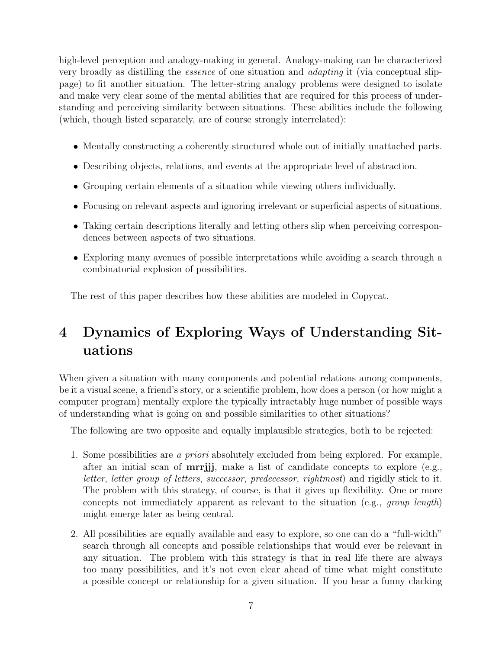high-level perception and analogy-making in general. Analogy-making can be characterized very broadly as distilling the essence of one situation and adapting it (via conceptual slippage) to fit another situation. The letter-string analogy problems were designed to isolate and make very clear some of the mental abilities that are required for this process of understanding and perceiving similarity between situations. These abilities include the following (which, though listed separately, are of course strongly interrelated):

- Mentally constructing a coherently structured whole out of initially unattached parts.
- Describing objects, relations, and events at the appropriate level of abstraction.
- Grouping certain elements of a situation while viewing others individually.
- Focusing on relevant aspects and ignoring irrelevant or superficial aspects of situations.
- Taking certain descriptions literally and letting others slip when perceiving correspondences between aspects of two situations.
- Exploring many avenues of possible interpretations while avoiding a search through a combinatorial explosion of possibilities.

The rest of this paper describes how these abilities are modeled in Copycat.

# 4 Dynamics of Exploring Ways of Understanding Situations

When given a situation with many components and potential relations among components, be it a visual scene, a friend's story, or a scientific problem, how does a person (or how might a computer program) mentally explore the typically intractably huge number of possible ways of understanding what is going on and possible similarities to other situations?

The following are two opposite and equally implausible strategies, both to be rejected:

- 1. Some possibilities are a priori absolutely excluded from being explored. For example, after an initial scan of **mrrjij**, make a list of candidate concepts to explore (e.g., letter, letter group of letters, successor, predecessor, rightmost) and rigidly stick to it. The problem with this strategy, of course, is that it gives up flexibility. One or more concepts not immediately apparent as relevant to the situation (e.g., *group length*) might emerge later as being central.
- 2. All possibilities are equally available and easy to explore, so one can do a "full-width" search through all concepts and possible relationships that would ever be relevant in any situation. The problem with this strategy is that in real life there are always too many possibilities, and it's not even clear ahead of time what might constitute a possible concept or relationship for a given situation. If you hear a funny clacking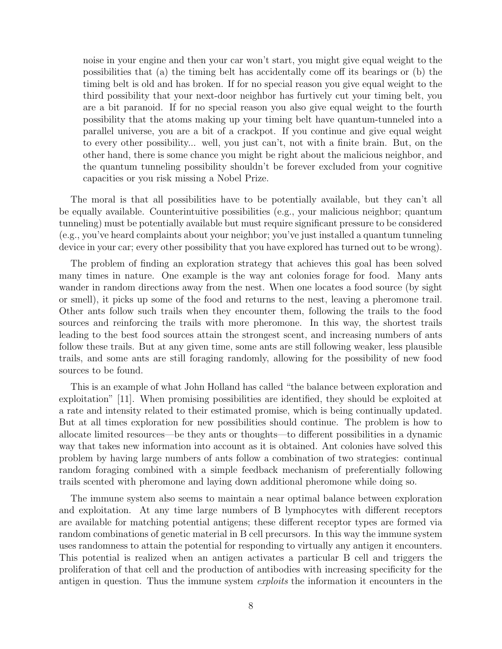noise in your engine and then your car won't start, you might give equal weight to the possibilities that (a) the timing belt has accidentally come off its bearings or (b) the timing belt is old and has broken. If for no special reason you give equal weight to the third possibility that your next-door neighbor has furtively cut your timing belt, you are a bit paranoid. If for no special reason you also give equal weight to the fourth possibility that the atoms making up your timing belt have quantum-tunneled into a parallel universe, you are a bit of a crackpot. If you continue and give equal weight to every other possibility... well, you just can't, not with a finite brain. But, on the other hand, there is some chance you might be right about the malicious neighbor, and the quantum tunneling possibility shouldn't be forever excluded from your cognitive capacities or you risk missing a Nobel Prize.

The moral is that all possibilities have to be potentially available, but they can't all be equally available. Counterintuitive possibilities (e.g., your malicious neighbor; quantum tunneling) must be potentially available but must require significant pressure to be considered (e.g., you've heard complaints about your neighbor; you've just installed a quantum tunneling device in your car; every other possibility that you have explored has turned out to be wrong).

The problem of finding an exploration strategy that achieves this goal has been solved many times in nature. One example is the way ant colonies forage for food. Many ants wander in random directions away from the nest. When one locates a food source (by sight or smell), it picks up some of the food and returns to the nest, leaving a pheromone trail. Other ants follow such trails when they encounter them, following the trails to the food sources and reinforcing the trails with more pheromone. In this way, the shortest trails leading to the best food sources attain the strongest scent, and increasing numbers of ants follow these trails. But at any given time, some ants are still following weaker, less plausible trails, and some ants are still foraging randomly, allowing for the possibility of new food sources to be found.

This is an example of what John Holland has called "the balance between exploration and exploitation" [11]. When promising possibilities are identified, they should be exploited at a rate and intensity related to their estimated promise, which is being continually updated. But at all times exploration for new possibilities should continue. The problem is how to allocate limited resources—be they ants or thoughts—to different possibilities in a dynamic way that takes new information into account as it is obtained. Ant colonies have solved this problem by having large numbers of ants follow a combination of two strategies: continual random foraging combined with a simple feedback mechanism of preferentially following trails scented with pheromone and laying down additional pheromone while doing so.

The immune system also seems to maintain a near optimal balance between exploration and exploitation. At any time large numbers of B lymphocytes with different receptors are available for matching potential antigens; these different receptor types are formed via random combinations of genetic material in B cell precursors. In this way the immune system uses randomness to attain the potential for responding to virtually any antigen it encounters. This potential is realized when an antigen activates a particular B cell and triggers the proliferation of that cell and the production of antibodies with increasing specificity for the antigen in question. Thus the immune system *exploits* the information it encounters in the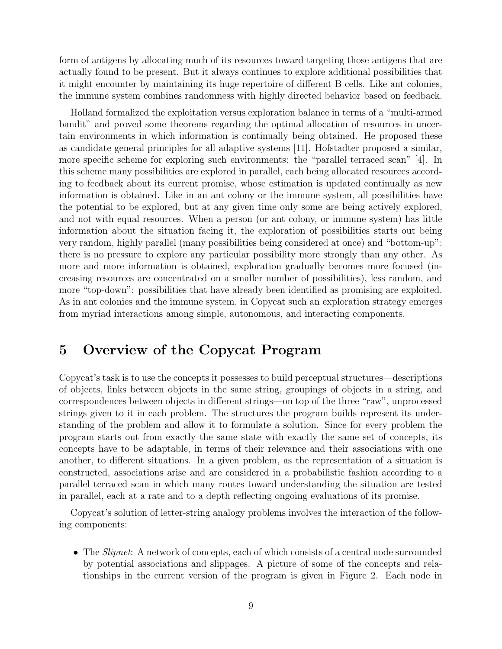form of antigens by allocating much of its resources toward targeting those antigens that are actually found to be present. But it always continues to explore additional possibilities that it might encounter by maintaining its huge repertoire of different B cells. Like ant colonies, the immune system combines randomness with highly directed behavior based on feedback.

Holland formalized the exploitation versus exploration balance in terms of a "multi-armed bandit" and proved some theorems regarding the optimal allocation of resources in uncertain environments in which information is continually being obtained. He proposed these as candidate general principles for all adaptive systems [11]. Hofstadter proposed a similar, more specific scheme for exploring such environments: the "parallel terraced scan" [4]. In this scheme many possibilities are explored in parallel, each being allocated resources according to feedback about its current promise, whose estimation is updated continually as new information is obtained. Like in an ant colony or the immune system, all possibilities have the potential to be explored, but at any given time only some are being actively explored, and not with equal resources. When a person (or ant colony, or immune system) has little information about the situation facing it, the exploration of possibilities starts out being very random, highly parallel (many possibilities being considered at once) and "bottom-up": there is no pressure to explore any particular possibility more strongly than any other. As more and more information is obtained, exploration gradually becomes more focused (increasing resources are concentrated on a smaller number of possibilities), less random, and more "top-down": possibilities that have already been identified as promising are exploited. As in ant colonies and the immune system, in Copycat such an exploration strategy emerges from myriad interactions among simple, autonomous, and interacting components.

### 5 Overview of the Copycat Program

Copycat's task is to use the concepts it possesses to build perceptual structures—descriptions of objects, links between objects in the same string, groupings of objects in a string, and correspondences between objects in different strings—on top of the three "raw", unprocessed strings given to it in each problem. The structures the program builds represent its understanding of the problem and allow it to formulate a solution. Since for every problem the program starts out from exactly the same state with exactly the same set of concepts, its concepts have to be adaptable, in terms of their relevance and their associations with one another, to different situations. In a given problem, as the representation of a situation is constructed, associations arise and are considered in a probabilistic fashion according to a parallel terraced scan in which many routes toward understanding the situation are tested in parallel, each at a rate and to a depth reflecting ongoing evaluations of its promise.

Copycat's solution of letter-string analogy problems involves the interaction of the following components:

• The *Slipnet*: A network of concepts, each of which consists of a central node surrounded by potential associations and slippages. A picture of some of the concepts and relationships in the current version of the program is given in Figure 2. Each node in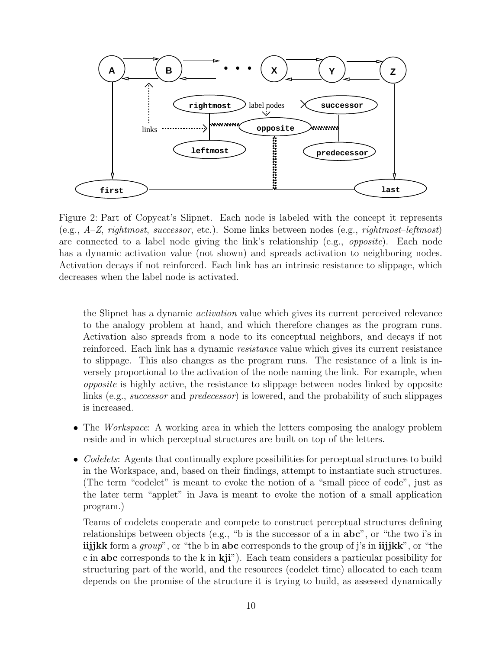

Figure 2: Part of Copycat's Slipnet. Each node is labeled with the concept it represents (e.g.,  $A-Z$ , rightmost, successor, etc.). Some links between nodes (e.g., rightmost–leftmost) are connected to a label node giving the link's relationship (e.g.,  $opposite$ ). Each node has a dynamic activation value (not shown) and spreads activation to neighboring nodes. Activation decays if not reinforced. Each link has an intrinsic resistance to slippage, which decreases when the label node is activated.

the Slipnet has a dynamic activation value which gives its current perceived relevance to the analogy problem at hand, and which therefore changes as the program runs. Activation also spreads from a node to its conceptual neighbors, and decays if not reinforced. Each link has a dynamic resistance value which gives its current resistance to slippage. This also changes as the program runs. The resistance of a link is inversely proportional to the activation of the node naming the link. For example, when opposite is highly active, the resistance to slippage between nodes linked by opposite links (e.g., successor and predecessor) is lowered, and the probability of such slippages is increased.

- The *Workspace*: A working area in which the letters composing the analogy problem reside and in which perceptual structures are built on top of the letters.
- *Codelets*: Agents that continually explore possibilities for perceptual structures to build in the Workspace, and, based on their findings, attempt to instantiate such structures. (The term "codelet" is meant to evoke the notion of a "small piece of code", just as the later term "applet" in Java is meant to evoke the notion of a small application program.)

Teams of codelets cooperate and compete to construct perceptual structures defining relationships between objects (e.g., "b is the successor of a in abc", or "the two i's in iijjkk form a *group*", or "the b in **abc** corresponds to the group of j's in iijjkk", or "the c in abc corresponds to the k in kji"). Each team considers a particular possibility for structuring part of the world, and the resources (codelet time) allocated to each team depends on the promise of the structure it is trying to build, as assessed dynamically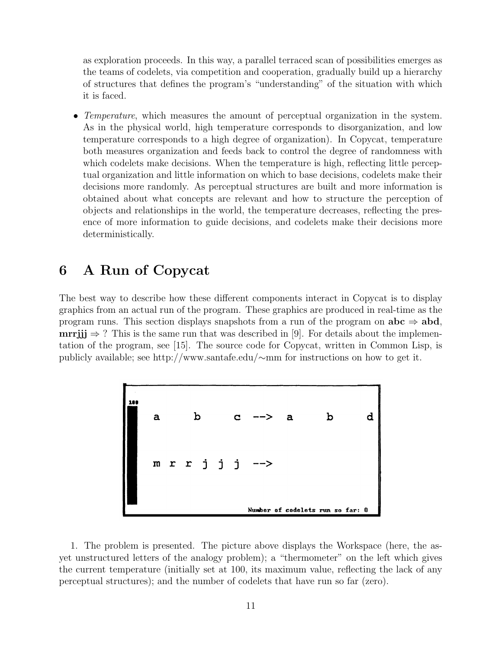as exploration proceeds. In this way, a parallel terraced scan of possibilities emerges as the teams of codelets, via competition and cooperation, gradually build up a hierarchy of structures that defines the program's "understanding" of the situation with which it is faced.

• Temperature, which measures the amount of perceptual organization in the system. As in the physical world, high temperature corresponds to disorganization, and low temperature corresponds to a high degree of organization). In Copycat, temperature both measures organization and feeds back to control the degree of randomness with which codelets make decisions. When the temperature is high, reflecting little perceptual organization and little information on which to base decisions, codelets make their decisions more randomly. As perceptual structures are built and more information is obtained about what concepts are relevant and how to structure the perception of objects and relationships in the world, the temperature decreases, reflecting the presence of more information to guide decisions, and codelets make their decisions more deterministically.

### 6 A Run of Copycat

The best way to describe how these different components interact in Copycat is to display graphics from an actual run of the program. These graphics are produced in real-time as the program runs. This section displays snapshots from a run of the program on  $abc \Rightarrow abd$ ,  $mrrjj \Rightarrow$  ? This is the same run that was described in [9]. For details about the implementation of the program, see [15]. The source code for Copycat, written in Common Lisp, is publicly available; see http://www.santafe.edu/∼mm for instructions on how to get it.



1. The problem is presented. The picture above displays the Workspace (here, the asyet unstructured letters of the analogy problem); a "thermometer" on the left which gives the current temperature (initially set at 100, its maximum value, reflecting the lack of any perceptual structures); and the number of codelets that have run so far (zero).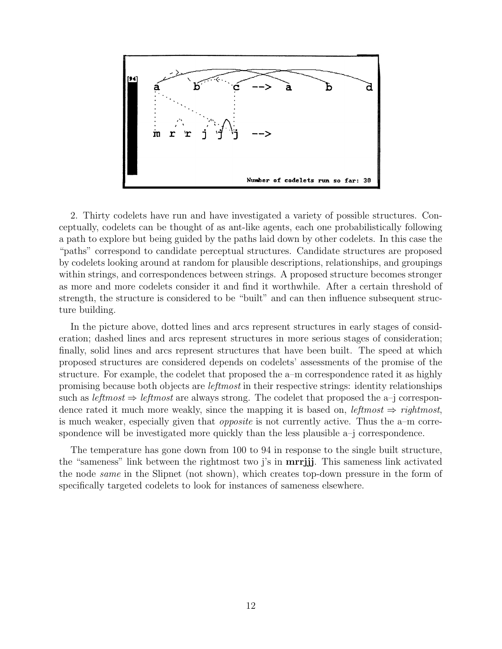

2. Thirty codelets have run and have investigated a variety of possible structures. Conceptually, codelets can be thought of as ant-like agents, each one probabilistically following a path to explore but being guided by the paths laid down by other codelets. In this case the "paths" correspond to candidate perceptual structures. Candidate structures are proposed by codelets looking around at random for plausible descriptions, relationships, and groupings within strings, and correspondences between strings. A proposed structure becomes stronger as more and more codelets consider it and find it worthwhile. After a certain threshold of strength, the structure is considered to be "built" and can then influence subsequent structure building.

In the picture above, dotted lines and arcs represent structures in early stages of consideration; dashed lines and arcs represent structures in more serious stages of consideration; finally, solid lines and arcs represent structures that have been built. The speed at which proposed structures are considered depends on codelets' assessments of the promise of the structure. For example, the codelet that proposed the a–m correspondence rated it as highly promising because both objects are leftmost in their respective strings: identity relationships such as leftmost  $\Rightarrow$  leftmost are always strong. The codelet that proposed the a–j correspondence rated it much more weakly, since the mapping it is based on, *leftmost*  $\Rightarrow$  rightmost, is much weaker, especially given that opposite is not currently active. Thus the a–m correspondence will be investigated more quickly than the less plausible a–j correspondence.

The temperature has gone down from 100 to 94 in response to the single built structure, the "sameness" link between the rightmost two j's in mrrjjj. This sameness link activated the node same in the Slipnet (not shown), which creates top-down pressure in the form of specifically targeted codelets to look for instances of sameness elsewhere.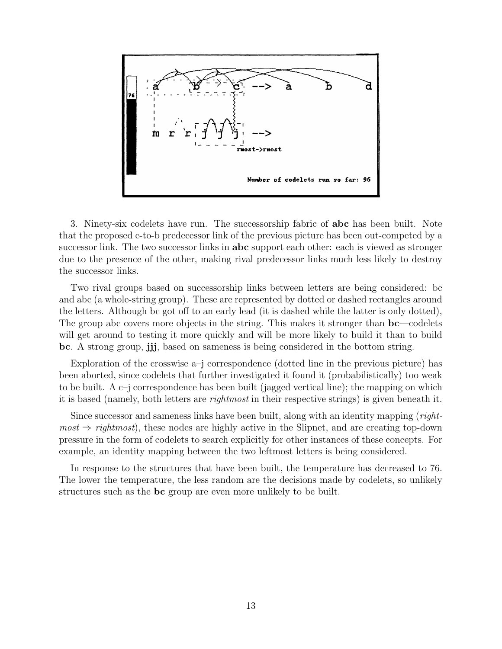

3. Ninety-six codelets have run. The successorship fabric of abc has been built. Note that the proposed c-to-b predecessor link of the previous picture has been out-competed by a successor link. The two successor links in **abc** support each other: each is viewed as stronger due to the presence of the other, making rival predecessor links much less likely to destroy the successor links.

Two rival groups based on successorship links between letters are being considered: bc and abc (a whole-string group). These are represented by dotted or dashed rectangles around the letters. Although bc got off to an early lead (it is dashed while the latter is only dotted), The group abc covers more objects in the string. This makes it stronger than bc—codelets will get around to testing it more quickly and will be more likely to build it than to build bc. A strong group, jjj, based on sameness is being considered in the bottom string.

Exploration of the crosswise a–j correspondence (dotted line in the previous picture) has been aborted, since codelets that further investigated it found it (probabilistically) too weak to be built. A c–j correspondence has been built (jagged vertical line); the mapping on which it is based (namely, both letters are rightmost in their respective strings) is given beneath it.

Since successor and sameness links have been built, along with an identity mapping (right $most \Rightarrow rightmost)$ , these nodes are highly active in the Slipnet, and are creating top-down pressure in the form of codelets to search explicitly for other instances of these concepts. For example, an identity mapping between the two leftmost letters is being considered.

In response to the structures that have been built, the temperature has decreased to 76. The lower the temperature, the less random are the decisions made by codelets, so unlikely structures such as the bc group are even more unlikely to be built.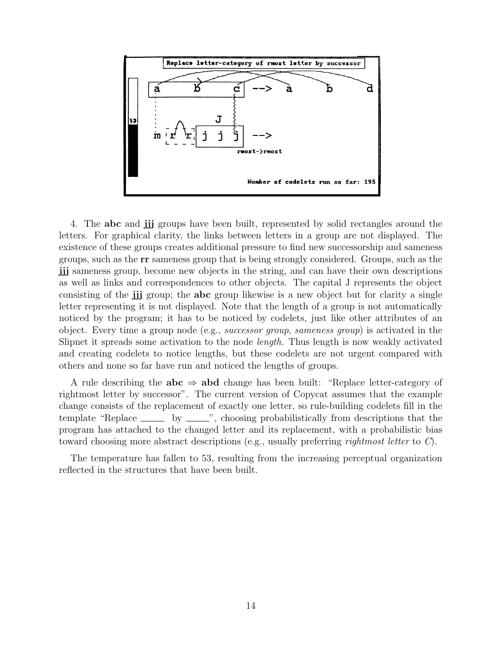

4. The abc and jjj groups have been built, represented by solid rectangles around the letters. For graphical clarity, the links between letters in a group are not displayed. The existence of these groups creates additional pressure to find new successorship and sameness groups, such as the rr sameness group that is being strongly considered. Groups, such as the jjj sameness group, become new objects in the string, and can have their own descriptions as well as links and correspondences to other objects. The capital J represents the object consisting of the jjj group; the abc group likewise is a new object but for clarity a single letter representing it is not displayed. Note that the length of a group is not automatically noticed by the program; it has to be noticed by codelets, just like other attributes of an object. Every time a group node (e.g., *successor group*, *sameness group*) is activated in the Slipnet it spreads some activation to the node length. Thus length is now weakly activated and creating codelets to notice lengths, but these codelets are not urgent compared with others and none so far have run and noticed the lengths of groups.

A rule describing the  $abc \Rightarrow abd$  change has been built: "Replace letter-category of rightmost letter by successor". The current version of Copycat assumes that the example change consists of the replacement of exactly one letter, so rule-building codelets fill in the template "Replace <u>by ",</u> choosing probabilistically from descriptions that the program has attached to the changed letter and its replacement, with a probabilistic bias toward choosing more abstract descriptions (e.g., usually preferring *rightmost letter* to  $C$ ).

The temperature has fallen to 53, resulting from the increasing perceptual organization reflected in the structures that have been built.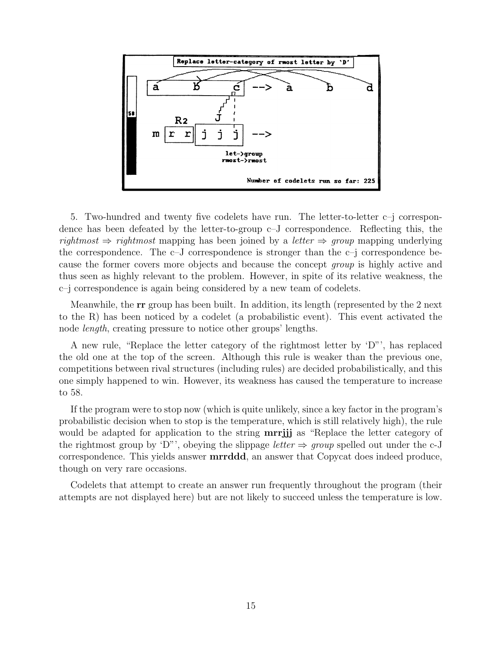

5. Two-hundred and twenty five codelets have run. The letter-to-letter c–j correspondence has been defeated by the letter-to-group c–J correspondence. Reflecting this, the rightmost  $\Rightarrow$  rightmost mapping has been joined by a *letter*  $\Rightarrow$  group mapping underlying the correspondence. The c–J correspondence is stronger than the c–j correspondence because the former covers more objects and because the concept group is highly active and thus seen as highly relevant to the problem. However, in spite of its relative weakness, the c–j correspondence is again being considered by a new team of codelets.

Meanwhile, the rr group has been built. In addition, its length (represented by the 2 next to the R) has been noticed by a codelet (a probabilistic event). This event activated the node *length*, creating pressure to notice other groups' lengths.

A new rule, "Replace the letter category of the rightmost letter by 'D"', has replaced the old one at the top of the screen. Although this rule is weaker than the previous one, competitions between rival structures (including rules) are decided probabilistically, and this one simply happened to win. However, its weakness has caused the temperature to increase to 58.

If the program were to stop now (which is quite unlikely, since a key factor in the program's probabilistic decision when to stop is the temperature, which is still relatively high), the rule would be adapted for application to the string **mrriji** as "Replace the letter category of the rightmost group by 'D"', obeying the slippage *letter*  $\Rightarrow$  group spelled out under the c-J correspondence. This yields answer mrrddd, an answer that Copycat does indeed produce, though on very rare occasions.

Codelets that attempt to create an answer run frequently throughout the program (their attempts are not displayed here) but are not likely to succeed unless the temperature is low.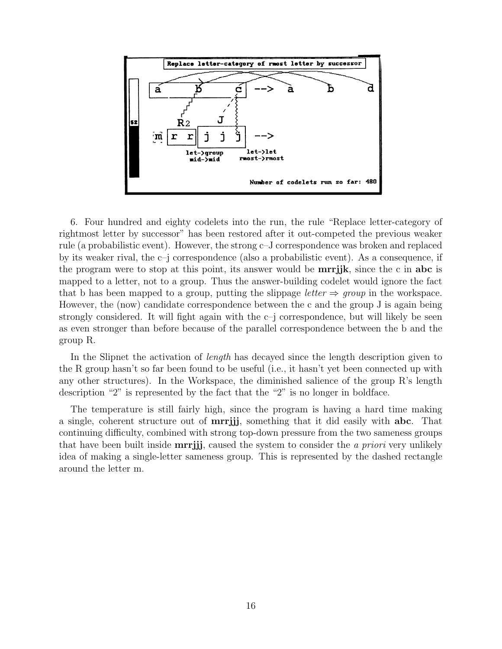

6. Four hundred and eighty codelets into the run, the rule "Replace letter-category of rightmost letter by successor" has been restored after it out-competed the previous weaker rule (a probabilistic event). However, the strong c–J correspondence was broken and replaced by its weaker rival, the c–j correspondence (also a probabilistic event). As a consequence, if the program were to stop at this point, its answer would be mrrjjk, since the c in abc is mapped to a letter, not to a group. Thus the answer-building codelet would ignore the fact that b has been mapped to a group, putting the slippage *letter*  $\Rightarrow$  group in the workspace. However, the (now) candidate correspondence between the c and the group J is again being strongly considered. It will fight again with the  $c-j$  correspondence, but will likely be seen as even stronger than before because of the parallel correspondence between the b and the group R.

In the Slipnet the activation of *length* has decayed since the length description given to the R group hasn't so far been found to be useful (i.e., it hasn't yet been connected up with any other structures). In the Workspace, the diminished salience of the group  $R$ 's length description "2" is represented by the fact that the "2" is no longer in boldface.

The temperature is still fairly high, since the program is having a hard time making a single, coherent structure out of mrrjjj, something that it did easily with abc. That continuing difficulty, combined with strong top-down pressure from the two sameness groups that have been built inside **mrrijj**, caused the system to consider the a priori very unlikely idea of making a single-letter sameness group. This is represented by the dashed rectangle around the letter m.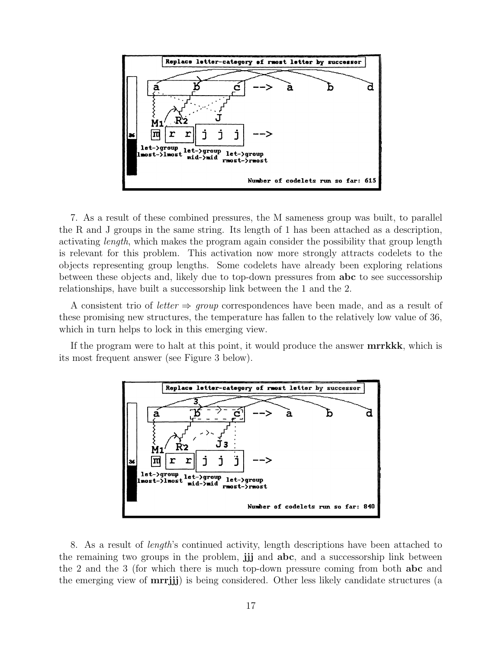

7. As a result of these combined pressures, the M sameness group was built, to parallel the R and J groups in the same string. Its length of 1 has been attached as a description, activating length, which makes the program again consider the possibility that group length is relevant for this problem. This activation now more strongly attracts codelets to the objects representing group lengths. Some codelets have already been exploring relations between these objects and, likely due to top-down pressures from abc to see successorship relationships, have built a successorship link between the 1 and the 2.

A consistent trio of *letter*  $\Rightarrow$  *group* correspondences have been made, and as a result of these promising new structures, the temperature has fallen to the relatively low value of 36, which in turn helps to lock in this emerging view.

If the program were to halt at this point, it would produce the answer **mrrkkk**, which is its most frequent answer (see Figure 3 below).



8. As a result of length's continued activity, length descriptions have been attached to the remaining two groups in the problem, jjj and abc, and a successorship link between the 2 and the 3 (for which there is much top-down pressure coming from both abc and the emerging view of mrrjjj) is being considered. Other less likely candidate structures (a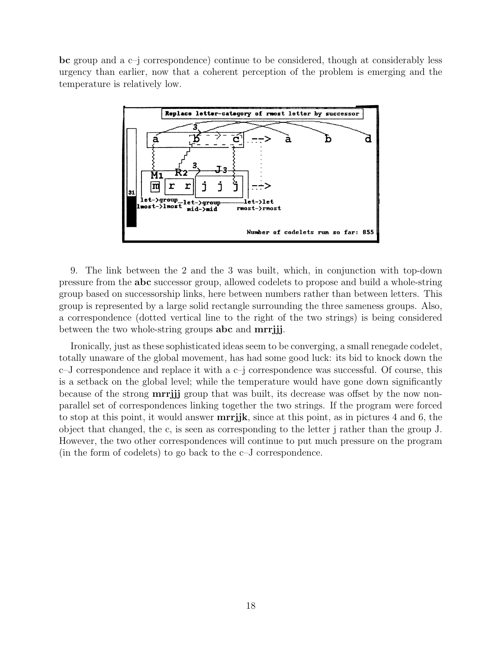$\mathbf{b}$ c group and a c–j correspondence) continue to be considered, though at considerably less urgency than earlier, now that a coherent perception of the problem is emerging and the temperature is relatively low.



9. The link between the 2 and the 3 was built, which, in conjunction with top-down pressure from the abc successor group, allowed codelets to propose and build a whole-string group based on successorship links, here between numbers rather than between letters. This group is represented by a large solid rectangle surrounding the three sameness groups. Also, a correspondence (dotted vertical line to the right of the two strings) is being considered between the two whole-string groups abc and mrrijj.

Ironically, just as these sophisticated ideas seem to be converging, a small renegade codelet, totally unaware of the global movement, has had some good luck: its bid to knock down the  $c-J$  correspondence and replace it with a  $c-j$  correspondence was successful. Of course, this is a setback on the global level; while the temperature would have gone down significantly because of the strong mrrjjj group that was built, its decrease was offset by the now nonparallel set of correspondences linking together the two strings. If the program were forced to stop at this point, it would answer mrrjjk, since at this point, as in pictures 4 and 6, the object that changed, the c, is seen as corresponding to the letter j rather than the group J. However, the two other correspondences will continue to put much pressure on the program (in the form of codelets) to go back to the c–J correspondence.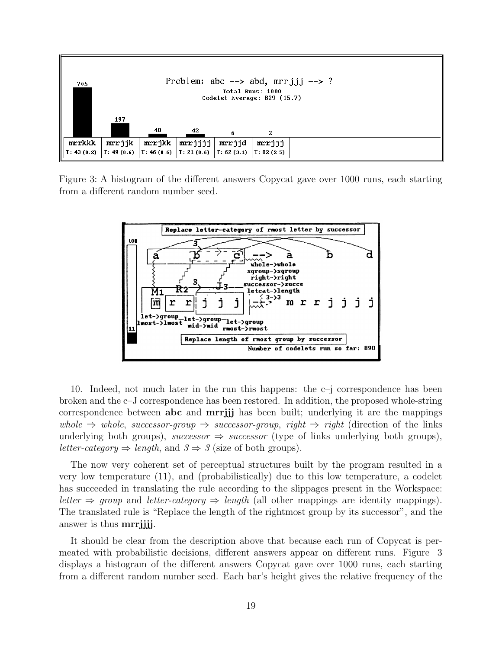

Figure 3: A histogram of the different answers Copycat gave over 1000 runs, each starting from a different random number seed.



10. Indeed, not much later in the run this happens: the c–j correspondence has been broken and the c–J correspondence has been restored. In addition, the proposed whole-string correspondence between abc and mrrjjj has been built; underlying it are the mappings whole  $\Rightarrow$  whole, successor-group  $\Rightarrow$  successor-group, right  $\Rightarrow$  right (direction of the links underlying both groups), successor  $\Rightarrow$  successor (type of links underlying both groups), letter-category  $\Rightarrow$  length, and  $3 \Rightarrow 3$  (size of both groups).

The now very coherent set of perceptual structures built by the program resulted in a very low temperature (11), and (probabilistically) due to this low temperature, a codelet has succeeded in translating the rule according to the slippages present in the Workspace: letter  $\Rightarrow$  group and letter-category  $\Rightarrow$  length (all other mappings are identity mappings). The translated rule is "Replace the length of the rightmost group by its successor", and the answer is thus **mrrjijj**.

It should be clear from the description above that because each run of Copycat is permeated with probabilistic decisions, different answers appear on different runs. Figure 3 displays a histogram of the different answers Copycat gave over 1000 runs, each starting from a different random number seed. Each bar's height gives the relative frequency of the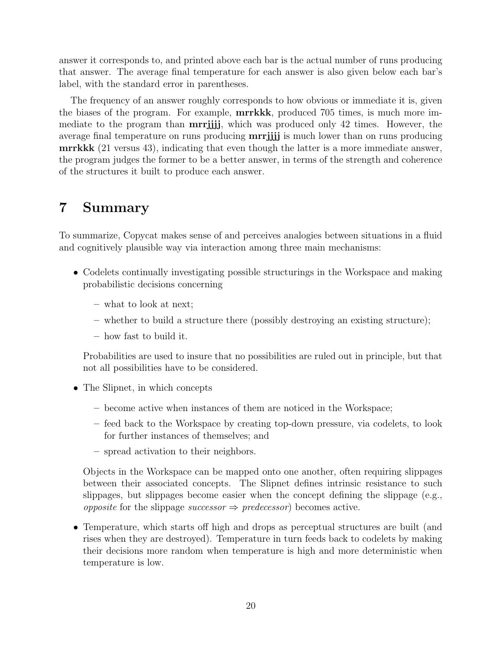answer it corresponds to, and printed above each bar is the actual number of runs producing that answer. The average final temperature for each answer is also given below each bar's label, with the standard error in parentheses.

The frequency of an answer roughly corresponds to how obvious or immediate it is, given the biases of the program. For example, mrrkkk, produced 705 times, is much more immediate to the program than mrrjjjj, which was produced only 42 times. However, the average final temperature on runs producing **mrrijiji** is much lower than on runs producing mrrkkk (21 versus 43), indicating that even though the latter is a more immediate answer, the program judges the former to be a better answer, in terms of the strength and coherence of the structures it built to produce each answer.

# 7 Summary

To summarize, Copycat makes sense of and perceives analogies between situations in a fluid and cognitively plausible way via interaction among three main mechanisms:

- Codelets continually investigating possible structurings in the Workspace and making probabilistic decisions concerning
	- what to look at next;
	- whether to build a structure there (possibly destroying an existing structure);
	- how fast to build it.

Probabilities are used to insure that no possibilities are ruled out in principle, but that not all possibilities have to be considered.

- The Slipnet, in which concepts
	- become active when instances of them are noticed in the Workspace;
	- feed back to the Workspace by creating top-down pressure, via codelets, to look for further instances of themselves; and
	- spread activation to their neighbors.

Objects in the Workspace can be mapped onto one another, often requiring slippages between their associated concepts. The Slipnet defines intrinsic resistance to such slippages, but slippages become easier when the concept defining the slippage (e.g., *opposite* for the slippage *successor*  $\Rightarrow$  *predecessor*) becomes active.

• Temperature, which starts off high and drops as perceptual structures are built (and rises when they are destroyed). Temperature in turn feeds back to codelets by making their decisions more random when temperature is high and more deterministic when temperature is low.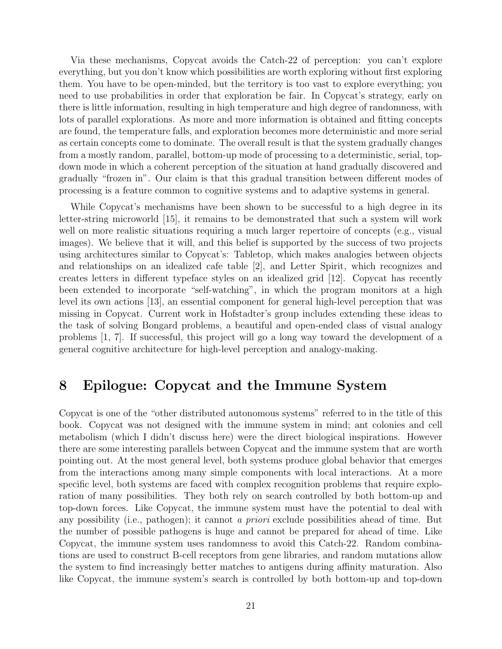Via these mechanisms, Copycat avoids the Catch-22 of perception: you can't explore everything, but you don't know which possibilities are worth exploring without first exploring them. You have to be open-minded, but the territory is too vast to explore everything; you need to use probabilities in order that exploration be fair. In Copycat's strategy, early on there is little information, resulting in high temperature and high degree of randomness, with lots of parallel explorations. As more and more information is obtained and fitting concepts are found, the temperature falls, and exploration becomes more deterministic and more serial as certain concepts come to dominate. The overall result is that the system gradually changes from a mostly random, parallel, bottom-up mode of processing to a deterministic, serial, topdown mode in which a coherent perception of the situation at hand gradually discovered and gradually "frozen in". Our claim is that this gradual transition between different modes of processing is a feature common to cognitive systems and to adaptive systems in general.

While Copycat's mechanisms have been shown to be successful to a high degree in its letter-string microworld [15], it remains to be demonstrated that such a system will work well on more realistic situations requiring a much larger repertoire of concepts (e.g., visual images). We believe that it will, and this belief is supported by the success of two projects using architectures similar to Copycat's: Tabletop, which makes analogies between objects and relationships on an idealized cafe table [2], and Letter Spirit, which recognizes and creates letters in different typeface styles on an idealized grid [12]. Copycat has recently been extended to incorporate "self-watching", in which the program monitors at a high level its own actions [13], an essential component for general high-level perception that was missing in Copycat. Current work in Hofstadter's group includes extending these ideas to the task of solving Bongard problems, a beautiful and open-ended class of visual analogy problems [1, 7]. If successful, this project will go a long way toward the development of a general cognitive architecture for high-level perception and analogy-making.

#### 8 Epilogue: Copycat and the Immune System

Copycat is one of the "other distributed autonomous systems" referred to in the title of this book. Copycat was not designed with the immune system in mind; ant colonies and cell metabolism (which I didn't discuss here) were the direct biological inspirations. However there are some interesting parallels between Copycat and the immune system that are worth pointing out. At the most general level, both systems produce global behavior that emerges from the interactions among many simple components with local interactions. At a more specific level, both systems are faced with complex recognition problems that require exploration of many possibilities. They both rely on search controlled by both bottom-up and top-down forces. Like Copycat, the immune system must have the potential to deal with any possibility (i.e., pathogen); it cannot a priori exclude possibilities ahead of time. But the number of possible pathogens is huge and cannot be prepared for ahead of time. Like Copycat, the immune system uses randomness to avoid this Catch-22. Random combinations are used to construct B-cell receptors from gene libraries, and random mutations allow the system to find increasingly better matches to antigens during affinity maturation. Also like Copycat, the immune system's search is controlled by both bottom-up and top-down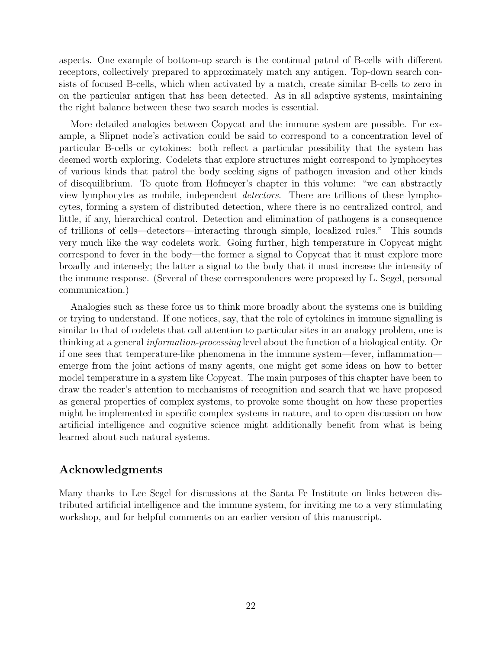aspects. One example of bottom-up search is the continual patrol of B-cells with different receptors, collectively prepared to approximately match any antigen. Top-down search consists of focused B-cells, which when activated by a match, create similar B-cells to zero in on the particular antigen that has been detected. As in all adaptive systems, maintaining the right balance between these two search modes is essential.

More detailed analogies between Copycat and the immune system are possible. For example, a Slipnet node's activation could be said to correspond to a concentration level of particular B-cells or cytokines: both reflect a particular possibility that the system has deemed worth exploring. Codelets that explore structures might correspond to lymphocytes of various kinds that patrol the body seeking signs of pathogen invasion and other kinds of disequilibrium. To quote from Hofmeyer's chapter in this volume: "we can abstractly view lymphocytes as mobile, independent detectors. There are trillions of these lymphocytes, forming a system of distributed detection, where there is no centralized control, and little, if any, hierarchical control. Detection and elimination of pathogens is a consequence of trillions of cells—detectors—interacting through simple, localized rules." This sounds very much like the way codelets work. Going further, high temperature in Copycat might correspond to fever in the body—the former a signal to Copycat that it must explore more broadly and intensely; the latter a signal to the body that it must increase the intensity of the immune response. (Several of these correspondences were proposed by L. Segel, personal communication.)

Analogies such as these force us to think more broadly about the systems one is building or trying to understand. If one notices, say, that the role of cytokines in immune signalling is similar to that of codelets that call attention to particular sites in an analogy problem, one is thinking at a general information-processing level about the function of a biological entity. Or if one sees that temperature-like phenomena in the immune system—fever, inflammation emerge from the joint actions of many agents, one might get some ideas on how to better model temperature in a system like Copycat. The main purposes of this chapter have been to draw the reader's attention to mechanisms of recognition and search that we have proposed as general properties of complex systems, to provoke some thought on how these properties might be implemented in specific complex systems in nature, and to open discussion on how artificial intelligence and cognitive science might additionally benefit from what is being learned about such natural systems.

#### Acknowledgments

Many thanks to Lee Segel for discussions at the Santa Fe Institute on links between distributed artificial intelligence and the immune system, for inviting me to a very stimulating workshop, and for helpful comments on an earlier version of this manuscript.